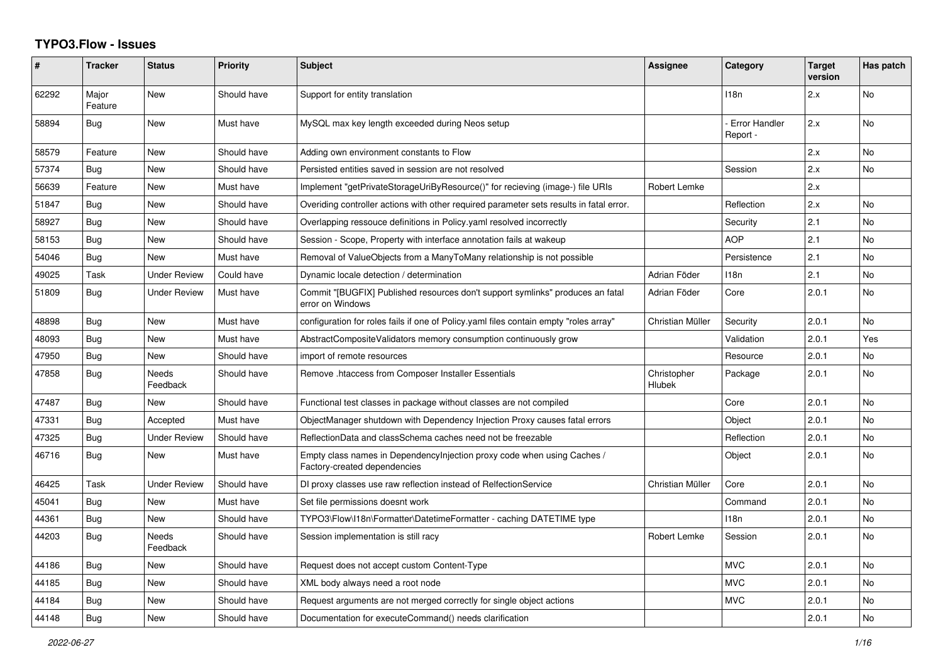## **TYPO3.Flow - Issues**

| #     | <b>Tracker</b>   | <b>Status</b>            | <b>Priority</b> | <b>Subject</b>                                                                                          | <b>Assignee</b>              | Category                         | <b>Target</b><br>version | Has patch |
|-------|------------------|--------------------------|-----------------|---------------------------------------------------------------------------------------------------------|------------------------------|----------------------------------|--------------------------|-----------|
| 62292 | Major<br>Feature | <b>New</b>               | Should have     | Support for entity translation                                                                          |                              | 118n                             | 2.x                      | No        |
| 58894 | Bug              | <b>New</b>               | Must have       | MySQL max key length exceeded during Neos setup                                                         |                              | <b>Error Handler</b><br>Report - | 2.x                      | <b>No</b> |
| 58579 | Feature          | <b>New</b>               | Should have     | Adding own environment constants to Flow                                                                |                              |                                  | 2.x                      | <b>No</b> |
| 57374 | Bug              | <b>New</b>               | Should have     | Persisted entities saved in session are not resolved                                                    |                              | Session                          | 2.x                      | No        |
| 56639 | Feature          | <b>New</b>               | Must have       | Implement "getPrivateStorageUriByResource()" for recieving (image-) file URIs                           | Robert Lemke                 |                                  | 2.x                      |           |
| 51847 | <b>Bug</b>       | <b>New</b>               | Should have     | Overiding controller actions with other required parameter sets results in fatal error.                 |                              | Reflection                       | 2.x                      | No        |
| 58927 | Bug              | <b>New</b>               | Should have     | Overlapping ressouce definitions in Policy yaml resolved incorrectly                                    |                              | Security                         | 2.1                      | No        |
| 58153 | <b>Bug</b>       | <b>New</b>               | Should have     | Session - Scope, Property with interface annotation fails at wakeup                                     |                              | <b>AOP</b>                       | 2.1                      | No        |
| 54046 | Bug              | <b>New</b>               | Must have       | Removal of ValueObjects from a ManyToMany relationship is not possible                                  |                              | Persistence                      | 2.1                      | No        |
| 49025 | Task             | <b>Under Review</b>      | Could have      | Dynamic locale detection / determination                                                                | Adrian Föder                 | 118n                             | 2.1                      | No        |
| 51809 | Bug              | <b>Under Review</b>      | Must have       | Commit "[BUGFIX] Published resources don't support symlinks" produces an fatal<br>error on Windows      | Adrian Föder                 | Core                             | 2.0.1                    | <b>No</b> |
| 48898 | Bug              | New                      | Must have       | configuration for roles fails if one of Policy yaml files contain empty "roles array"                   | Christian Müller             | Security                         | 2.0.1                    | No        |
| 48093 | Bug              | <b>New</b>               | Must have       | AbstractCompositeValidators memory consumption continuously grow                                        |                              | Validation                       | 2.0.1                    | Yes       |
| 47950 | <b>Bug</b>       | <b>New</b>               | Should have     | import of remote resources                                                                              |                              | Resource                         | 2.0.1                    | No        |
| 47858 | Bug              | <b>Needs</b><br>Feedback | Should have     | Remove .htaccess from Composer Installer Essentials                                                     | Christopher<br><b>Hlubek</b> | Package                          | 2.0.1                    | No        |
| 47487 | Bug              | <b>New</b>               | Should have     | Functional test classes in package without classes are not compiled                                     |                              | Core                             | 2.0.1                    | No        |
| 47331 | Bug              | Accepted                 | Must have       | ObjectManager shutdown with Dependency Injection Proxy causes fatal errors                              |                              | Object                           | 2.0.1                    | No        |
| 47325 | Bug              | <b>Under Review</b>      | Should have     | ReflectionData and classSchema caches need not be freezable                                             |                              | Reflection                       | 2.0.1                    | No        |
| 46716 | Bug              | <b>New</b>               | Must have       | Empty class names in Dependencylnjection proxy code when using Caches /<br>Factory-created dependencies |                              | Object                           | 2.0.1                    | <b>No</b> |
| 46425 | Task             | <b>Under Review</b>      | Should have     | DI proxy classes use raw reflection instead of RelfectionService                                        | Christian Müller             | Core                             | 2.0.1                    | No        |
| 45041 | Bug              | <b>New</b>               | Must have       | Set file permissions doesnt work                                                                        |                              | Command                          | 2.0.1                    | No        |
| 44361 | Bug              | <b>New</b>               | Should have     | TYPO3\Flow\I18n\Formatter\DatetimeFormatter - caching DATETIME type                                     |                              | 118n                             | 2.0.1                    | No        |
| 44203 | <b>Bug</b>       | Needs<br>Feedback        | Should have     | Session implementation is still racy                                                                    | Robert Lemke                 | Session                          | 2.0.1                    | No        |
| 44186 | Bug              | <b>New</b>               | Should have     | Request does not accept custom Content-Type                                                             |                              | <b>MVC</b>                       | 2.0.1                    | <b>No</b> |
| 44185 | <b>Bug</b>       | New                      | Should have     | XML body always need a root node                                                                        |                              | <b>MVC</b>                       | 2.0.1                    | No        |
| 44184 | Bug              | <b>New</b>               | Should have     | Request arguments are not merged correctly for single object actions                                    |                              | <b>MVC</b>                       | 2.0.1                    | No        |
| 44148 | <b>Bug</b>       | <b>New</b>               | Should have     | Documentation for executeCommand() needs clarification                                                  |                              |                                  | 2.0.1                    | <b>No</b> |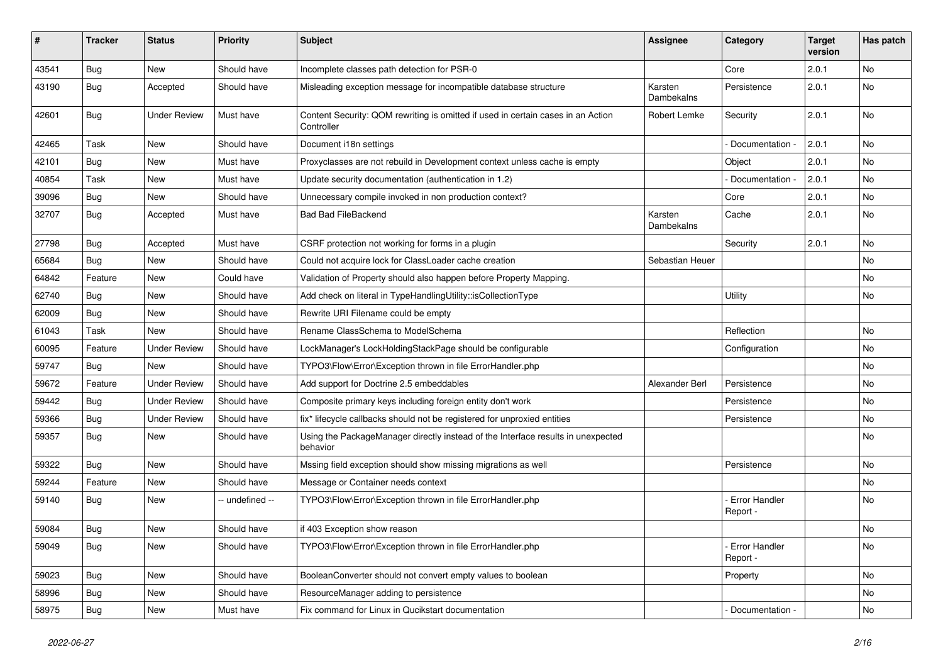| $\pmb{\#}$ | <b>Tracker</b> | <b>Status</b>       | <b>Priority</b> | <b>Subject</b>                                                                                 | <b>Assignee</b>       | Category                         | <b>Target</b><br>version | Has patch |
|------------|----------------|---------------------|-----------------|------------------------------------------------------------------------------------------------|-----------------------|----------------------------------|--------------------------|-----------|
| 43541      | Bug            | <b>New</b>          | Should have     | Incomplete classes path detection for PSR-0                                                    |                       | Core                             | 2.0.1                    | <b>No</b> |
| 43190      | Bug            | Accepted            | Should have     | Misleading exception message for incompatible database structure                               | Karsten<br>Dambekalns | Persistence                      | 2.0.1                    | No        |
| 42601      | Bug            | <b>Under Review</b> | Must have       | Content Security: QOM rewriting is omitted if used in certain cases in an Action<br>Controller | Robert Lemke          | Security                         | 2.0.1                    | <b>No</b> |
| 42465      | Task           | <b>New</b>          | Should have     | Document i18n settings                                                                         |                       | Documentation -                  | 2.0.1                    | <b>No</b> |
| 42101      | Bug            | New                 | Must have       | Proxyclasses are not rebuild in Development context unless cache is empty                      |                       | Object                           | 2.0.1                    | No        |
| 40854      | Task           | New                 | Must have       | Update security documentation (authentication in 1.2)                                          |                       | Documentation -                  | 2.0.1                    | <b>No</b> |
| 39096      | Bug            | New                 | Should have     | Unnecessary compile invoked in non production context?                                         |                       | Core                             | 2.0.1                    | No        |
| 32707      | Bug            | Accepted            | Must have       | <b>Bad Bad FileBackend</b>                                                                     | Karsten<br>Dambekalns | Cache                            | 2.0.1                    | No        |
| 27798      | Bug            | Accepted            | Must have       | CSRF protection not working for forms in a plugin                                              |                       | Security                         | 2.0.1                    | <b>No</b> |
| 65684      | Bug            | New                 | Should have     | Could not acquire lock for ClassLoader cache creation                                          | Sebastian Heuer       |                                  |                          | No        |
| 64842      | Feature        | <b>New</b>          | Could have      | Validation of Property should also happen before Property Mapping.                             |                       |                                  |                          | No        |
| 62740      | <b>Bug</b>     | New                 | Should have     | Add check on literal in TypeHandlingUtility::isCollectionType                                  |                       | Utility                          |                          | No        |
| 62009      | <b>Bug</b>     | New                 | Should have     | Rewrite URI Filename could be empty                                                            |                       |                                  |                          |           |
| 61043      | Task           | <b>New</b>          | Should have     | Rename ClassSchema to ModelSchema                                                              |                       | Reflection                       |                          | <b>No</b> |
| 60095      | Feature        | <b>Under Review</b> | Should have     | LockManager's LockHoldingStackPage should be configurable                                      |                       | Configuration                    |                          | No        |
| 59747      | <b>Bug</b>     | New                 | Should have     | TYPO3\Flow\Error\Exception thrown in file ErrorHandler.php                                     |                       |                                  |                          | No        |
| 59672      | Feature        | <b>Under Review</b> | Should have     | Add support for Doctrine 2.5 embeddables                                                       | Alexander Berl        | Persistence                      |                          | No        |
| 59442      | <b>Bug</b>     | <b>Under Review</b> | Should have     | Composite primary keys including foreign entity don't work                                     |                       | Persistence                      |                          | No        |
| 59366      | Bug            | <b>Under Review</b> | Should have     | fix* lifecycle callbacks should not be registered for unproxied entities                       |                       | Persistence                      |                          | No        |
| 59357      | <b>Bug</b>     | New                 | Should have     | Using the PackageManager directly instead of the Interface results in unexpected<br>behavior   |                       |                                  |                          | No        |
| 59322      | Bug            | <b>New</b>          | Should have     | Mssing field exception should show missing migrations as well                                  |                       | Persistence                      |                          | <b>No</b> |
| 59244      | Feature        | New                 | Should have     | Message or Container needs context                                                             |                       |                                  |                          | No        |
| 59140      | <b>Bug</b>     | <b>New</b>          | -- undefined -- | TYPO3\Flow\Error\Exception thrown in file ErrorHandler.php                                     |                       | Error Handler<br>Report -        |                          | No        |
| 59084      | <b>Bug</b>     | New                 | Should have     | if 403 Exception show reason                                                                   |                       |                                  |                          | No        |
| 59049      | <b>Bug</b>     | New                 | Should have     | TYPO3\Flow\Error\Exception thrown in file ErrorHandler.php                                     |                       | <b>Error Handler</b><br>Report - |                          | No        |
| 59023      | Bug            | New                 | Should have     | BooleanConverter should not convert empty values to boolean                                    |                       | Property                         |                          | No        |
| 58996      | <b>Bug</b>     | New                 | Should have     | ResourceManager adding to persistence                                                          |                       |                                  |                          | No        |
| 58975      | <b>Bug</b>     | New                 | Must have       | Fix command for Linux in Qucikstart documentation                                              |                       | Documentation -                  |                          | No        |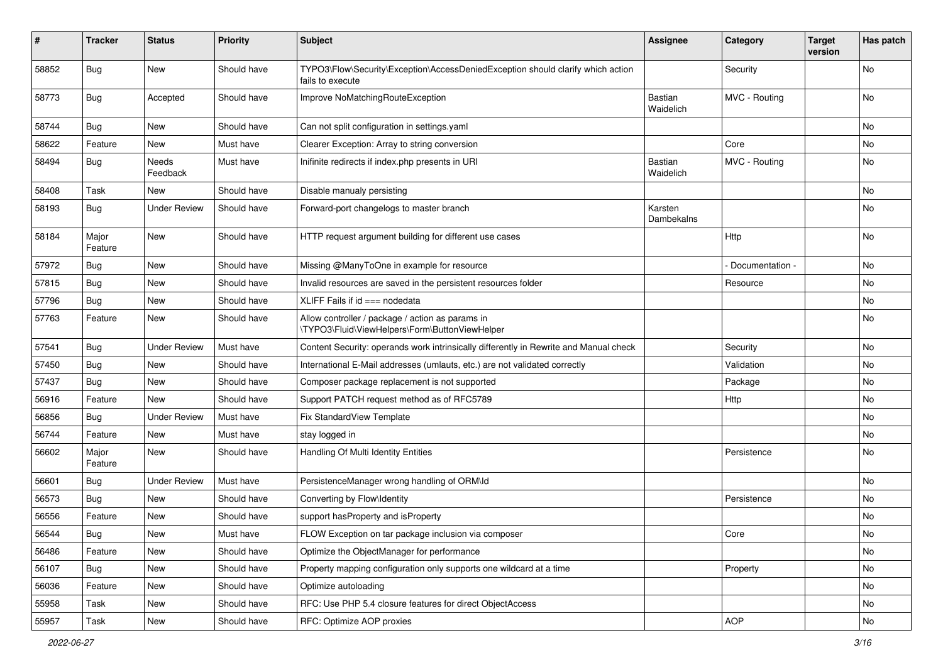| #     | <b>Tracker</b>   | <b>Status</b>       | <b>Priority</b> | <b>Subject</b>                                                                                      | Assignee                    | Category        | <b>Target</b><br>version | Has patch |
|-------|------------------|---------------------|-----------------|-----------------------------------------------------------------------------------------------------|-----------------------------|-----------------|--------------------------|-----------|
| 58852 | <b>Bug</b>       | New                 | Should have     | TYPO3\Flow\Security\Exception\AccessDeniedException should clarify which action<br>fails to execute |                             | Security        |                          | No        |
| 58773 | Bug              | Accepted            | Should have     | Improve NoMatchingRouteException                                                                    | Bastian<br>Waidelich        | MVC - Routing   |                          | No        |
| 58744 | Bug              | New                 | Should have     | Can not split configuration in settings.yaml                                                        |                             |                 |                          | No        |
| 58622 | Feature          | New                 | Must have       | Clearer Exception: Array to string conversion                                                       |                             | Core            |                          | No        |
| 58494 | <b>Bug</b>       | Needs<br>Feedback   | Must have       | Inifinite redirects if index.php presents in URI                                                    | <b>Bastian</b><br>Waidelich | MVC - Routing   |                          | No        |
| 58408 | Task             | New                 | Should have     | Disable manualy persisting                                                                          |                             |                 |                          | <b>No</b> |
| 58193 | <b>Bug</b>       | Under Review        | Should have     | Forward-port changelogs to master branch                                                            | Karsten<br>Dambekalns       |                 |                          | No        |
| 58184 | Major<br>Feature | New                 | Should have     | HTTP request argument building for different use cases                                              |                             | Http            |                          | No        |
| 57972 | Bug              | New                 | Should have     | Missing @ManyToOne in example for resource                                                          |                             | Documentation - |                          | No        |
| 57815 | <b>Bug</b>       | New                 | Should have     | Invalid resources are saved in the persistent resources folder                                      |                             | Resource        |                          | No        |
| 57796 | Bug              | New                 | Should have     | XLIFF Fails if $id == node data$                                                                    |                             |                 |                          | No        |
| 57763 | Feature          | New                 | Should have     | Allow controller / package / action as params in<br>\TYPO3\Fluid\ViewHelpers\Form\ButtonViewHelper  |                             |                 |                          | No        |
| 57541 | Bug              | <b>Under Review</b> | Must have       | Content Security: operands work intrinsically differently in Rewrite and Manual check               |                             | Security        |                          | <b>No</b> |
| 57450 | Bug              | New                 | Should have     | International E-Mail addresses (umlauts, etc.) are not validated correctly                          |                             | Validation      |                          | No        |
| 57437 | <b>Bug</b>       | New                 | Should have     | Composer package replacement is not supported                                                       |                             | Package         |                          | No        |
| 56916 | Feature          | New                 | Should have     | Support PATCH request method as of RFC5789                                                          |                             | Http            |                          | No        |
| 56856 | Bug              | <b>Under Review</b> | Must have       | Fix StandardView Template                                                                           |                             |                 |                          | No        |
| 56744 | Feature          | New                 | Must have       | stay logged in                                                                                      |                             |                 |                          | No        |
| 56602 | Major<br>Feature | New                 | Should have     | Handling Of Multi Identity Entities                                                                 |                             | Persistence     |                          | No        |
| 56601 | Bug              | <b>Under Review</b> | Must have       | PersistenceManager wrong handling of ORM\ld                                                         |                             |                 |                          | No        |
| 56573 | <b>Bug</b>       | New                 | Should have     | Converting by Flow\Identity                                                                         |                             | Persistence     |                          | No        |
| 56556 | Feature          | New                 | Should have     | support hasProperty and isProperty                                                                  |                             |                 |                          | No        |
| 56544 | <b>Bug</b>       | New                 | Must have       | FLOW Exception on tar package inclusion via composer                                                |                             | Core            |                          | No        |
| 56486 | Feature          | New                 | Should have     | Optimize the ObjectManager for performance                                                          |                             |                 |                          | No        |
| 56107 | Bug              | New                 | Should have     | Property mapping configuration only supports one wildcard at a time                                 |                             | Property        |                          | No        |
| 56036 | Feature          | New                 | Should have     | Optimize autoloading                                                                                |                             |                 |                          | No        |
| 55958 | Task             | New                 | Should have     | RFC: Use PHP 5.4 closure features for direct ObjectAccess                                           |                             |                 |                          | No        |
| 55957 | Task             | New                 | Should have     | RFC: Optimize AOP proxies                                                                           |                             | <b>AOP</b>      |                          | No        |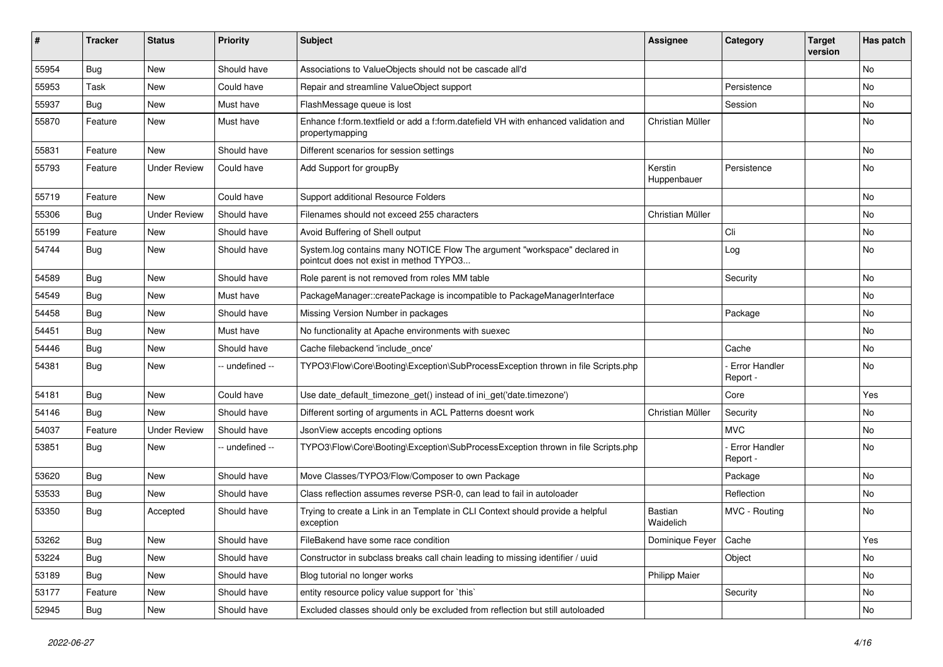| #     | <b>Tracker</b> | <b>Status</b>       | <b>Priority</b> | <b>Subject</b>                                                                                                       | <b>Assignee</b>        | Category                         | <b>Target</b><br>version | Has patch |
|-------|----------------|---------------------|-----------------|----------------------------------------------------------------------------------------------------------------------|------------------------|----------------------------------|--------------------------|-----------|
| 55954 | Bug            | New                 | Should have     | Associations to ValueObjects should not be cascade all'd                                                             |                        |                                  |                          | <b>No</b> |
| 55953 | Task           | New                 | Could have      | Repair and streamline ValueObject support                                                                            |                        | Persistence                      |                          | No.       |
| 55937 | Bug            | New                 | Must have       | FlashMessage queue is lost                                                                                           |                        | Session                          |                          | No        |
| 55870 | Feature        | New                 | Must have       | Enhance f:form.textfield or add a f:form.datefield VH with enhanced validation and<br>propertymapping                | Christian Müller       |                                  |                          | No        |
| 55831 | Feature        | New                 | Should have     | Different scenarios for session settings                                                                             |                        |                                  |                          | <b>No</b> |
| 55793 | Feature        | <b>Under Review</b> | Could have      | Add Support for groupBy                                                                                              | Kerstin<br>Huppenbauer | Persistence                      |                          | No        |
| 55719 | Feature        | New                 | Could have      | Support additional Resource Folders                                                                                  |                        |                                  |                          | <b>No</b> |
| 55306 | Bug            | <b>Under Review</b> | Should have     | Filenames should not exceed 255 characters                                                                           | Christian Müller       |                                  |                          | <b>No</b> |
| 55199 | Feature        | New                 | Should have     | Avoid Buffering of Shell output                                                                                      |                        | Cli                              |                          | No        |
| 54744 | <b>Bug</b>     | <b>New</b>          | Should have     | System.log contains many NOTICE Flow The argument "workspace" declared in<br>pointcut does not exist in method TYPO3 |                        | Log                              |                          | No        |
| 54589 | <b>Bug</b>     | <b>New</b>          | Should have     | Role parent is not removed from roles MM table                                                                       |                        | Security                         |                          | <b>No</b> |
| 54549 | Bug            | New                 | Must have       | PackageManager::createPackage is incompatible to PackageManagerInterface                                             |                        |                                  |                          | No        |
| 54458 | Bug            | New                 | Should have     | Missing Version Number in packages                                                                                   |                        | Package                          |                          | No        |
| 54451 | Bug            | New                 | Must have       | No functionality at Apache environments with suexec                                                                  |                        |                                  |                          | No        |
| 54446 | Bug            | New                 | Should have     | Cache filebackend 'include once'                                                                                     |                        | Cache                            |                          | No.       |
| 54381 | Bug            | New                 | -- undefined -- | TYPO3\Flow\Core\Booting\Exception\SubProcessException thrown in file Scripts.php                                     |                        | - Error Handler<br>Report -      |                          | No        |
| 54181 | <b>Bug</b>     | New                 | Could have      | Use date_default_timezone_get() instead of ini_get('date.timezone')                                                  |                        | Core                             |                          | Yes       |
| 54146 | <b>Bug</b>     | <b>New</b>          | Should have     | Different sorting of arguments in ACL Patterns doesnt work                                                           | Christian Müller       | Security                         |                          | <b>No</b> |
| 54037 | Feature        | <b>Under Review</b> | Should have     | JsonView accepts encoding options                                                                                    |                        | <b>MVC</b>                       |                          | No        |
| 53851 | Bug            | New                 | -- undefined -- | TYPO3\Flow\Core\Booting\Exception\SubProcessException thrown in file Scripts.php                                     |                        | <b>Error Handler</b><br>Report - |                          | No        |
| 53620 | <b>Bug</b>     | <b>New</b>          | Should have     | Move Classes/TYPO3/Flow/Composer to own Package                                                                      |                        | Package                          |                          | <b>No</b> |
| 53533 | Bug            | New                 | Should have     | Class reflection assumes reverse PSR-0, can lead to fail in autoloader                                               |                        | Reflection                       |                          | No        |
| 53350 | <b>Bug</b>     | Accepted            | Should have     | Trying to create a Link in an Template in CLI Context should provide a helpful<br>exception                          | Bastian<br>Waidelich   | MVC - Routing                    |                          | No        |
| 53262 | <b>Bug</b>     | New                 | Should have     | FileBakend have some race condition                                                                                  | Dominique Feyer        | Cache                            |                          | Yes       |
| 53224 | <b>Bug</b>     | New                 | Should have     | Constructor in subclass breaks call chain leading to missing identifier / uuid                                       |                        | Object                           |                          | No        |
| 53189 | <b>Bug</b>     | New                 | Should have     | Blog tutorial no longer works                                                                                        | Philipp Maier          |                                  |                          | No        |
| 53177 | Feature        | New                 | Should have     | entity resource policy value support for `this`                                                                      |                        | Security                         |                          | No        |
| 52945 | <b>Bug</b>     | New                 | Should have     | Excluded classes should only be excluded from reflection but still autoloaded                                        |                        |                                  |                          | No        |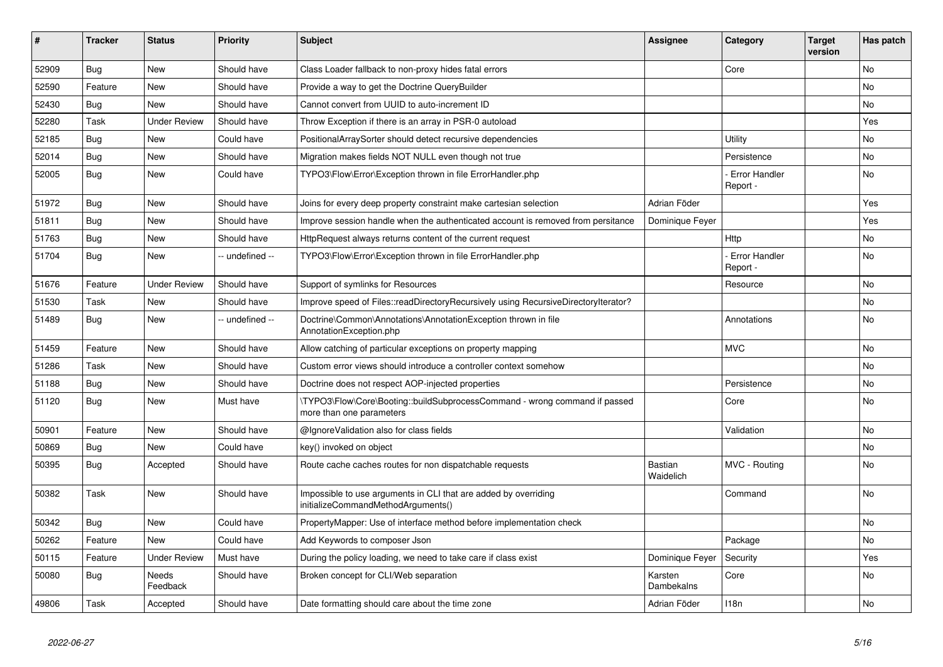| ∦     | <b>Tracker</b> | <b>Status</b>       | <b>Priority</b> | <b>Subject</b>                                                                                         | <b>Assignee</b>       | Category                         | <b>Target</b><br>version | Has patch |
|-------|----------------|---------------------|-----------------|--------------------------------------------------------------------------------------------------------|-----------------------|----------------------------------|--------------------------|-----------|
| 52909 | <b>Bug</b>     | <b>New</b>          | Should have     | Class Loader fallback to non-proxy hides fatal errors                                                  |                       | Core                             |                          | <b>No</b> |
| 52590 | Feature        | <b>New</b>          | Should have     | Provide a way to get the Doctrine QueryBuilder                                                         |                       |                                  |                          | No        |
| 52430 | Bug            | <b>New</b>          | Should have     | Cannot convert from UUID to auto-increment ID                                                          |                       |                                  |                          | No        |
| 52280 | Task           | <b>Under Review</b> | Should have     | Throw Exception if there is an array in PSR-0 autoload                                                 |                       |                                  |                          | Yes       |
| 52185 | <b>Bug</b>     | New                 | Could have      | PositionalArraySorter should detect recursive dependencies                                             |                       | Utility                          |                          | No        |
| 52014 | <b>Bug</b>     | <b>New</b>          | Should have     | Migration makes fields NOT NULL even though not true                                                   |                       | Persistence                      |                          | No        |
| 52005 | <b>Bug</b>     | <b>New</b>          | Could have      | TYPO3\Flow\Error\Exception thrown in file ErrorHandler.php                                             |                       | <b>Error Handler</b><br>Report - |                          | No        |
| 51972 | <b>Bug</b>     | <b>New</b>          | Should have     | Joins for every deep property constraint make cartesian selection                                      | Adrian Föder          |                                  |                          | Yes       |
| 51811 | <b>Bug</b>     | <b>New</b>          | Should have     | Improve session handle when the authenticated account is removed from persitance                       | Dominique Feyer       |                                  |                          | Yes       |
| 51763 | <b>Bug</b>     | <b>New</b>          | Should have     | HttpRequest always returns content of the current request                                              |                       | Http                             |                          | No        |
| 51704 | <b>Bug</b>     | <b>New</b>          | -- undefined -- | TYPO3\Flow\Error\Exception thrown in file ErrorHandler.php                                             |                       | <b>Error Handler</b><br>Report - |                          | <b>No</b> |
| 51676 | Feature        | <b>Under Review</b> | Should have     | Support of symlinks for Resources                                                                      |                       | Resource                         |                          | No        |
| 51530 | Task           | <b>New</b>          | Should have     | Improve speed of Files::readDirectoryRecursively using RecursiveDirectoryIterator?                     |                       |                                  |                          | <b>No</b> |
| 51489 | Bug            | <b>New</b>          | -- undefined -- | Doctrine\Common\Annotations\AnnotationException thrown in file<br>AnnotationException.php              |                       | Annotations                      |                          | No        |
| 51459 | Feature        | <b>New</b>          | Should have     | Allow catching of particular exceptions on property mapping                                            |                       | <b>MVC</b>                       |                          | <b>No</b> |
| 51286 | Task           | <b>New</b>          | Should have     | Custom error views should introduce a controller context somehow                                       |                       |                                  |                          | No        |
| 51188 | <b>Bug</b>     | <b>New</b>          | Should have     | Doctrine does not respect AOP-injected properties                                                      |                       | Persistence                      |                          | No.       |
| 51120 | <b>Bug</b>     | New                 | Must have       | \TYPO3\Flow\Core\Booting::buildSubprocessCommand - wrong command if passed<br>more than one parameters |                       | Core                             |                          | No        |
| 50901 | Feature        | <b>New</b>          | Should have     | @IgnoreValidation also for class fields                                                                |                       | Validation                       |                          | <b>No</b> |
| 50869 | Bug            | <b>New</b>          | Could have      | key() invoked on object                                                                                |                       |                                  |                          | No        |
| 50395 | <b>Bug</b>     | Accepted            | Should have     | Route cache caches routes for non dispatchable requests                                                | Bastian<br>Waidelich  | MVC - Routing                    |                          | <b>No</b> |
| 50382 | Task           | <b>New</b>          | Should have     | Impossible to use arguments in CLI that are added by overriding<br>initializeCommandMethodArguments()  |                       | Command                          |                          | No        |
| 50342 | Bug            | <b>New</b>          | Could have      | PropertyMapper: Use of interface method before implementation check                                    |                       |                                  |                          | <b>No</b> |
| 50262 | Feature        | <b>New</b>          | Could have      | Add Keywords to composer Json                                                                          |                       | Package                          |                          | No        |
| 50115 | Feature        | <b>Under Review</b> | Must have       | During the policy loading, we need to take care if class exist                                         | Dominique Feyer       | Security                         |                          | Yes       |
| 50080 | Bug            | Needs<br>Feedback   | Should have     | Broken concept for CLI/Web separation                                                                  | Karsten<br>Dambekalns | Core                             |                          | <b>No</b> |
| 49806 | Task           | Accepted            | Should have     | Date formatting should care about the time zone                                                        | Adrian Föder          | 118n                             |                          | <b>No</b> |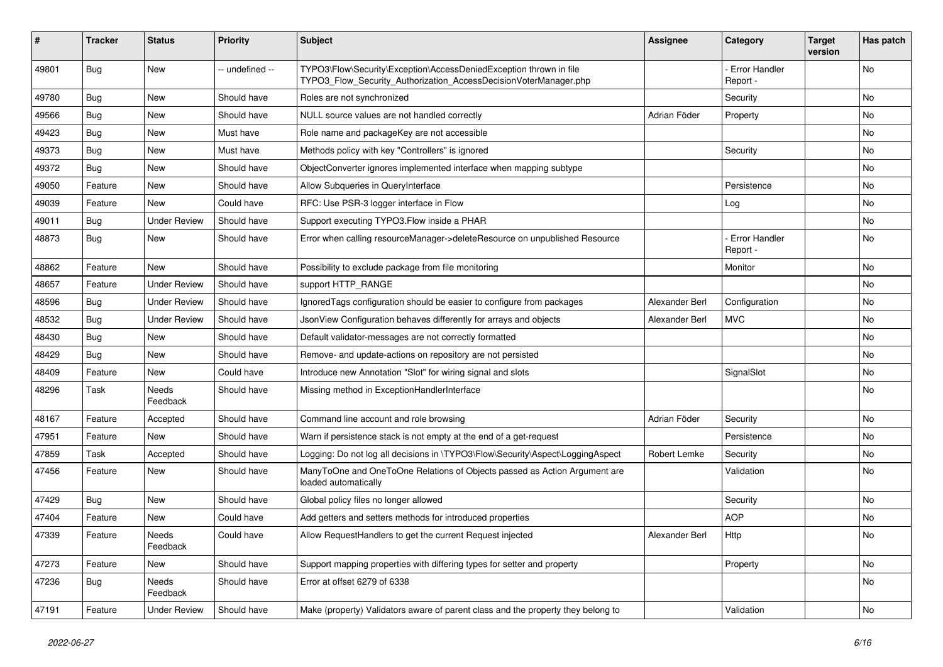| #     | <b>Tracker</b> | <b>Status</b>       | <b>Priority</b> | <b>Subject</b>                                                                                                                         | Assignee       | Category                         | <b>Target</b><br>version | Has patch |
|-------|----------------|---------------------|-----------------|----------------------------------------------------------------------------------------------------------------------------------------|----------------|----------------------------------|--------------------------|-----------|
| 49801 | <b>Bug</b>     | New                 | -- undefined -- | TYPO3\Flow\Security\Exception\AccessDeniedException thrown in file<br>TYPO3_Flow_Security_Authorization_AccessDecisionVoterManager.php |                | <b>Error Handler</b><br>Report - |                          | No        |
| 49780 | Bug            | New                 | Should have     | Roles are not synchronized                                                                                                             |                | Security                         |                          | <b>No</b> |
| 49566 | Bug            | New                 | Should have     | NULL source values are not handled correctly                                                                                           | Adrian Föder   | Property                         |                          | No        |
| 49423 | Bug            | New                 | Must have       | Role name and packageKey are not accessible                                                                                            |                |                                  |                          | No        |
| 49373 | <b>Bug</b>     | New                 | Must have       | Methods policy with key "Controllers" is ignored                                                                                       |                | Security                         |                          | <b>No</b> |
| 49372 | <b>Bug</b>     | New                 | Should have     | ObjectConverter ignores implemented interface when mapping subtype                                                                     |                |                                  |                          | No        |
| 49050 | Feature        | New                 | Should have     | Allow Subqueries in QueryInterface                                                                                                     |                | Persistence                      |                          | No        |
| 49039 | Feature        | New                 | Could have      | RFC: Use PSR-3 logger interface in Flow                                                                                                |                | Log                              |                          | No        |
| 49011 | <b>Bug</b>     | <b>Under Review</b> | Should have     | Support executing TYPO3. Flow inside a PHAR                                                                                            |                |                                  |                          | No        |
| 48873 | Bug            | New                 | Should have     | Error when calling resourceManager->deleteResource on unpublished Resource                                                             |                | <b>Error Handler</b><br>Report - |                          | No        |
| 48862 | Feature        | New                 | Should have     | Possibility to exclude package from file monitoring                                                                                    |                | Monitor                          |                          | No        |
| 48657 | Feature        | <b>Under Review</b> | Should have     | support HTTP_RANGE                                                                                                                     |                |                                  |                          | <b>No</b> |
| 48596 | <b>Bug</b>     | <b>Under Review</b> | Should have     | Ignored Tags configuration should be easier to configure from packages                                                                 | Alexander Berl | Configuration                    |                          | No        |
| 48532 | Bug            | <b>Under Review</b> | Should have     | JsonView Configuration behaves differently for arrays and objects                                                                      | Alexander Berl | <b>MVC</b>                       |                          | <b>No</b> |
| 48430 | Bug            | New                 | Should have     | Default validator-messages are not correctly formatted                                                                                 |                |                                  |                          | No        |
| 48429 | Bug            | New                 | Should have     | Remove- and update-actions on repository are not persisted                                                                             |                |                                  |                          | No        |
| 48409 | Feature        | New                 | Could have      | Introduce new Annotation "Slot" for wiring signal and slots                                                                            |                | SignalSlot                       |                          | No        |
| 48296 | Task           | Needs<br>Feedback   | Should have     | Missing method in ExceptionHandlerInterface                                                                                            |                |                                  |                          | No        |
| 48167 | Feature        | Accepted            | Should have     | Command line account and role browsing                                                                                                 | Adrian Föder   | Security                         |                          | <b>No</b> |
| 47951 | Feature        | New                 | Should have     | Warn if persistence stack is not empty at the end of a get-request                                                                     |                | Persistence                      |                          | No        |
| 47859 | Task           | Accepted            | Should have     | Logging: Do not log all decisions in \TYPO3\Flow\Security\Aspect\LoggingAspect                                                         | Robert Lemke   | Security                         |                          | No        |
| 47456 | Feature        | <b>New</b>          | Should have     | ManyToOne and OneToOne Relations of Objects passed as Action Argument are<br>loaded automatically                                      |                | Validation                       |                          | No        |
| 47429 | Bug            | New                 | Should have     | Global policy files no longer allowed                                                                                                  |                | Security                         |                          | No        |
| 47404 | Feature        | New                 | Could have      | Add getters and setters methods for introduced properties                                                                              |                | <b>AOP</b>                       |                          | No        |
| 47339 | Feature        | Needs<br>Feedback   | Could have      | Allow RequestHandlers to get the current Request injected                                                                              | Alexander Berl | Http                             |                          | N0        |
| 47273 | Feature        | New                 | Should have     | Support mapping properties with differing types for setter and property                                                                |                | Property                         |                          | No        |
| 47236 | Bug            | Needs<br>Feedback   | Should have     | Error at offset 6279 of 6338                                                                                                           |                |                                  |                          | No        |
| 47191 | Feature        | <b>Under Review</b> | Should have     | Make (property) Validators aware of parent class and the property they belong to                                                       |                | Validation                       |                          | No        |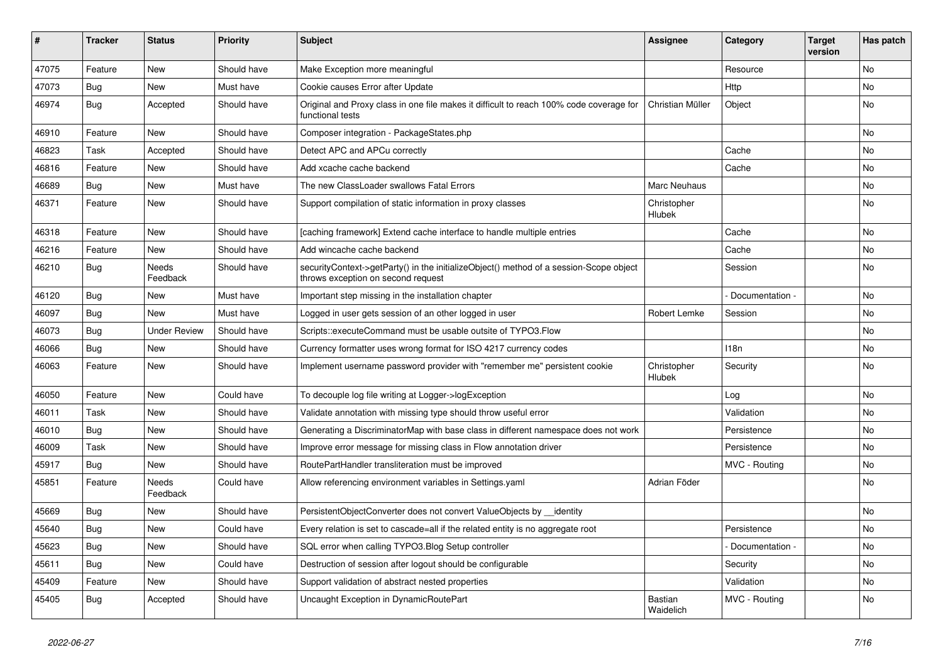| ∦     | <b>Tracker</b> | <b>Status</b>            | <b>Priority</b> | <b>Subject</b>                                                                                                               | <b>Assignee</b>       | Category        | <b>Target</b><br>version | Has patch |
|-------|----------------|--------------------------|-----------------|------------------------------------------------------------------------------------------------------------------------------|-----------------------|-----------------|--------------------------|-----------|
| 47075 | Feature        | <b>New</b>               | Should have     | Make Exception more meaningful                                                                                               |                       | Resource        |                          | <b>No</b> |
| 47073 | Bug            | <b>New</b>               | Must have       | Cookie causes Error after Update                                                                                             |                       | Http            |                          | <b>No</b> |
| 46974 | Bug            | Accepted                 | Should have     | Original and Proxy class in one file makes it difficult to reach 100% code coverage for<br>functional tests                  | Christian Müller      | Object          |                          | <b>No</b> |
| 46910 | Feature        | <b>New</b>               | Should have     | Composer integration - PackageStates.php                                                                                     |                       |                 |                          | <b>No</b> |
| 46823 | Task           | Accepted                 | Should have     | Detect APC and APCu correctly                                                                                                |                       | Cache           |                          | No        |
| 46816 | Feature        | <b>New</b>               | Should have     | Add xcache cache backend                                                                                                     |                       | Cache           |                          | <b>No</b> |
| 46689 | <b>Bug</b>     | <b>New</b>               | Must have       | The new ClassLoader swallows Fatal Errors                                                                                    | Marc Neuhaus          |                 |                          | No        |
| 46371 | Feature        | <b>New</b>               | Should have     | Support compilation of static information in proxy classes                                                                   | Christopher<br>Hlubek |                 |                          | <b>No</b> |
| 46318 | Feature        | <b>New</b>               | Should have     | [caching framework] Extend cache interface to handle multiple entries                                                        |                       | Cache           |                          | No        |
| 46216 | Feature        | <b>New</b>               | Should have     | Add wincache cache backend                                                                                                   |                       | Cache           |                          | No        |
| 46210 | <b>Bug</b>     | Needs<br>Feedback        | Should have     | securityContext->getParty() in the initializeObject() method of a session-Scope object<br>throws exception on second request |                       | Session         |                          | No        |
| 46120 | <b>Bug</b>     | <b>New</b>               | Must have       | Important step missing in the installation chapter                                                                           |                       | Documentation - |                          | <b>No</b> |
| 46097 | Bug            | <b>New</b>               | Must have       | Logged in user gets session of an other logged in user                                                                       | Robert Lemke          | Session         |                          | <b>No</b> |
| 46073 | <b>Bug</b>     | <b>Under Review</b>      | Should have     | Scripts::executeCommand must be usable outsite of TYPO3.Flow                                                                 |                       |                 |                          | <b>No</b> |
| 46066 | Bug            | <b>New</b>               | Should have     | Currency formatter uses wrong format for ISO 4217 currency codes                                                             |                       | 118n            |                          | <b>No</b> |
| 46063 | Feature        | <b>New</b>               | Should have     | Implement username password provider with "remember me" persistent cookie                                                    | Christopher<br>Hlubek | Security        |                          | <b>No</b> |
| 46050 | Feature        | <b>New</b>               | Could have      | To decouple log file writing at Logger->logException                                                                         |                       | Log             |                          | No        |
| 46011 | Task           | <b>New</b>               | Should have     | Validate annotation with missing type should throw useful error                                                              |                       | Validation      |                          | No        |
| 46010 | Bug            | <b>New</b>               | Should have     | Generating a DiscriminatorMap with base class in different namespace does not work                                           |                       | Persistence     |                          | No        |
| 46009 | Task           | <b>New</b>               | Should have     | Improve error message for missing class in Flow annotation driver                                                            |                       | Persistence     |                          | No        |
| 45917 | <b>Bug</b>     | <b>New</b>               | Should have     | RoutePartHandler transliteration must be improved                                                                            |                       | MVC - Routing   |                          | No        |
| 45851 | Feature        | <b>Needs</b><br>Feedback | Could have      | Allow referencing environment variables in Settings yaml                                                                     | Adrian Föder          |                 |                          | No        |
| 45669 | <b>Bug</b>     | <b>New</b>               | Should have     | PersistentObjectConverter does not convert ValueObjects by __ identity                                                       |                       |                 |                          | No        |
| 45640 | Bug            | <b>New</b>               | Could have      | Every relation is set to cascade=all if the related entity is no aggregate root                                              |                       | Persistence     |                          | <b>No</b> |
| 45623 | Bug            | <b>New</b>               | Should have     | SQL error when calling TYPO3. Blog Setup controller                                                                          |                       | Documentation - |                          | <b>No</b> |
| 45611 | Bug            | <b>New</b>               | Could have      | Destruction of session after logout should be configurable                                                                   |                       | Security        |                          | <b>No</b> |
| 45409 | Feature        | <b>New</b>               | Should have     | Support validation of abstract nested properties                                                                             |                       | Validation      |                          | <b>No</b> |
| 45405 | Bug            | Accepted                 | Should have     | Uncaught Exception in DynamicRoutePart                                                                                       | Bastian<br>Waidelich  | MVC - Routing   |                          | <b>No</b> |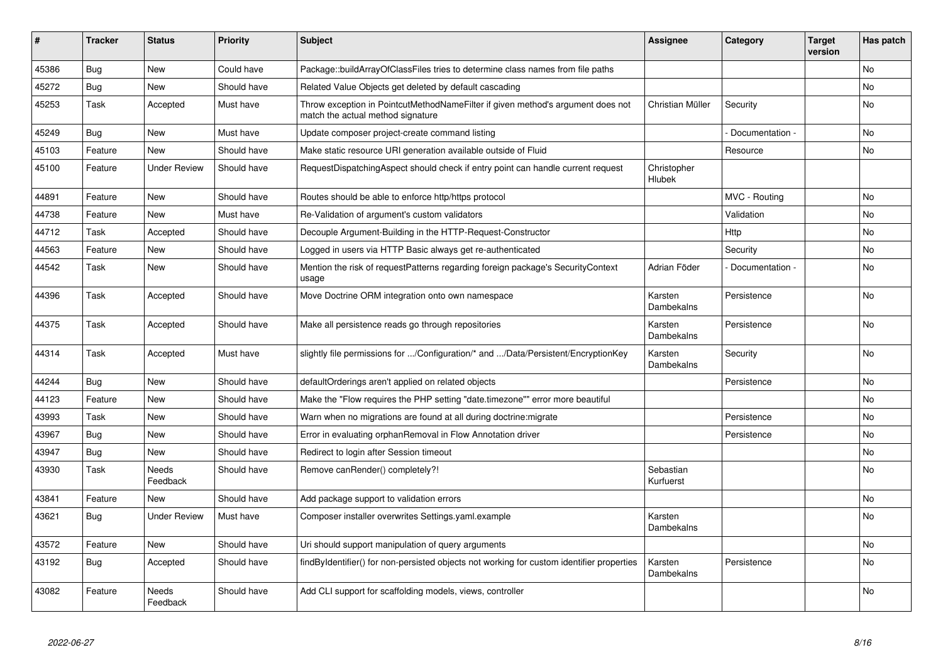| $\vert$ # | <b>Tracker</b> | <b>Status</b>            | <b>Priority</b> | <b>Subject</b>                                                                                                       | <b>Assignee</b>        | Category        | <b>Target</b><br>version | Has patch      |
|-----------|----------------|--------------------------|-----------------|----------------------------------------------------------------------------------------------------------------------|------------------------|-----------------|--------------------------|----------------|
| 45386     | Bug            | <b>New</b>               | Could have      | Package::buildArrayOfClassFiles tries to determine class names from file paths                                       |                        |                 |                          | No             |
| 45272     | Bug            | <b>New</b>               | Should have     | Related Value Objects get deleted by default cascading                                                               |                        |                 |                          | No             |
| 45253     | Task           | Accepted                 | Must have       | Throw exception in PointcutMethodNameFilter if given method's argument does not<br>match the actual method signature | Christian Müller       | Security        |                          | No             |
| 45249     | Bug            | <b>New</b>               | Must have       | Update composer project-create command listing                                                                       |                        | Documentation - |                          | No.            |
| 45103     | Feature        | <b>New</b>               | Should have     | Make static resource URI generation available outside of Fluid                                                       |                        | Resource        |                          | No             |
| 45100     | Feature        | <b>Under Review</b>      | Should have     | RequestDispatchingAspect should check if entry point can handle current request                                      | Christopher<br>Hlubek  |                 |                          |                |
| 44891     | Feature        | <b>New</b>               | Should have     | Routes should be able to enforce http/https protocol                                                                 |                        | MVC - Routing   |                          | No             |
| 44738     | Feature        | <b>New</b>               | Must have       | Re-Validation of argument's custom validators                                                                        |                        | Validation      |                          | No             |
| 44712     | Task           | Accepted                 | Should have     | Decouple Argument-Building in the HTTP-Request-Constructor                                                           |                        | Http            |                          | No             |
| 44563     | Feature        | <b>New</b>               | Should have     | Logged in users via HTTP Basic always get re-authenticated                                                           |                        | Security        |                          | No             |
| 44542     | Task           | <b>New</b>               | Should have     | Mention the risk of requestPatterns regarding foreign package's SecurityContext<br>usage                             | Adrian Föder           | Documentation - |                          | No             |
| 44396     | Task           | Accepted                 | Should have     | Move Doctrine ORM integration onto own namespace                                                                     | Karsten<br>Dambekalns  | Persistence     |                          | No             |
| 44375     | Task           | Accepted                 | Should have     | Make all persistence reads go through repositories                                                                   | Karsten<br>Dambekalns  | Persistence     |                          | No             |
| 44314     | Task           | Accepted                 | Must have       | slightly file permissions for /Configuration/* and /Data/Persistent/EncryptionKey                                    | Karsten<br>Dambekalns  | Security        |                          | No             |
| 44244     | Bug            | <b>New</b>               | Should have     | defaultOrderings aren't applied on related objects                                                                   |                        | Persistence     |                          | No             |
| 44123     | Feature        | <b>New</b>               | Should have     | Make the "Flow requires the PHP setting "date.timezone"" error more beautiful                                        |                        |                 |                          | No             |
| 43993     | Task           | <b>New</b>               | Should have     | Warn when no migrations are found at all during doctrine: migrate                                                    |                        | Persistence     |                          | No.            |
| 43967     | Bug            | <b>New</b>               | Should have     | Error in evaluating orphanRemoval in Flow Annotation driver                                                          |                        | Persistence     |                          | No             |
| 43947     | Bug            | <b>New</b>               | Should have     | Redirect to login after Session timeout                                                                              |                        |                 |                          | N <sub>o</sub> |
| 43930     | Task           | Needs<br>Feedback        | Should have     | Remove canRender() completely?!                                                                                      | Sebastian<br>Kurfuerst |                 |                          | No             |
| 43841     | Feature        | <b>New</b>               | Should have     | Add package support to validation errors                                                                             |                        |                 |                          | No.            |
| 43621     | Bug            | <b>Under Review</b>      | Must have       | Composer installer overwrites Settings.yaml.example                                                                  | Karsten<br>Dambekalns  |                 |                          | No             |
| 43572     | Feature        | New                      | Should have     | Uri should support manipulation of query arguments                                                                   |                        |                 |                          | No             |
| 43192     | Bug            | Accepted                 | Should have     | findByIdentifier() for non-persisted objects not working for custom identifier properties                            | Karsten<br>Dambekalns  | Persistence     |                          | No             |
| 43082     | Feature        | <b>Needs</b><br>Feedback | Should have     | Add CLI support for scaffolding models, views, controller                                                            |                        |                 |                          | <b>No</b>      |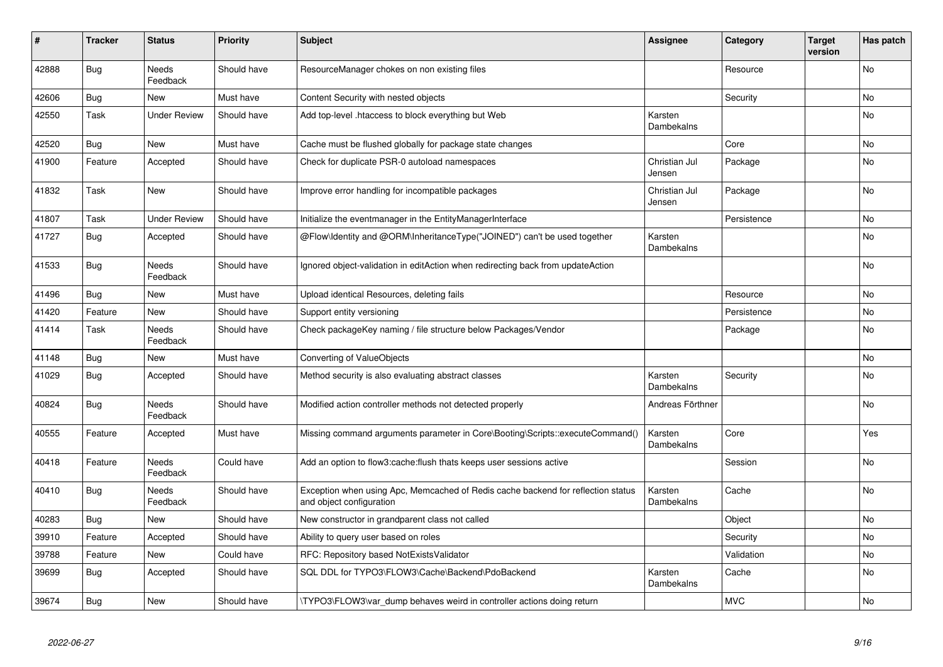| #     | <b>Tracker</b> | <b>Status</b>            | <b>Priority</b> | <b>Subject</b>                                                                                               | <b>Assignee</b>         | Category    | <b>Target</b><br>version | Has patch |
|-------|----------------|--------------------------|-----------------|--------------------------------------------------------------------------------------------------------------|-------------------------|-------------|--------------------------|-----------|
| 42888 | <b>Bug</b>     | <b>Needs</b><br>Feedback | Should have     | ResourceManager chokes on non existing files                                                                 |                         | Resource    |                          | <b>No</b> |
| 42606 | Bug            | <b>New</b>               | Must have       | Content Security with nested objects                                                                         |                         | Security    |                          | <b>No</b> |
| 42550 | Task           | <b>Under Review</b>      | Should have     | Add top-level .htaccess to block everything but Web                                                          | Karsten<br>Dambekalns   |             |                          | <b>No</b> |
| 42520 | Bug            | <b>New</b>               | Must have       | Cache must be flushed globally for package state changes                                                     |                         | Core        |                          | No        |
| 41900 | Feature        | Accepted                 | Should have     | Check for duplicate PSR-0 autoload namespaces                                                                | Christian Jul<br>Jensen | Package     |                          | <b>No</b> |
| 41832 | Task           | <b>New</b>               | Should have     | Improve error handling for incompatible packages                                                             | Christian Jul<br>Jensen | Package     |                          | <b>No</b> |
| 41807 | Task           | <b>Under Review</b>      | Should have     | Initialize the eventmanager in the EntityManagerInterface                                                    |                         | Persistence |                          | No        |
| 41727 | <b>Bug</b>     | Accepted                 | Should have     | @Flow\ldentity and @ORM\InheritanceType("JOINED") can't be used together                                     | Karsten<br>Dambekalns   |             |                          | <b>No</b> |
| 41533 | Bug            | <b>Needs</b><br>Feedback | Should have     | Ignored object-validation in editAction when redirecting back from updateAction                              |                         |             |                          | <b>No</b> |
| 41496 | <b>Bug</b>     | <b>New</b>               | Must have       | Upload identical Resources, deleting fails                                                                   |                         | Resource    |                          | <b>No</b> |
| 41420 | Feature        | New                      | Should have     | Support entity versioning                                                                                    |                         | Persistence |                          | No        |
| 41414 | Task           | <b>Needs</b><br>Feedback | Should have     | Check packageKey naming / file structure below Packages/Vendor                                               |                         | Package     |                          | No        |
| 41148 | Bug            | New                      | Must have       | Converting of ValueObjects                                                                                   |                         |             |                          | No        |
| 41029 | <b>Bug</b>     | Accepted                 | Should have     | Method security is also evaluating abstract classes                                                          | Karsten<br>Dambekalns   | Security    |                          | <b>No</b> |
| 40824 | <b>Bug</b>     | <b>Needs</b><br>Feedback | Should have     | Modified action controller methods not detected properly                                                     | Andreas Förthner        |             |                          | <b>No</b> |
| 40555 | Feature        | Accepted                 | Must have       | Missing command arguments parameter in Core\Booting\Scripts::executeCommand()                                | Karsten<br>Dambekalns   | Core        |                          | Yes       |
| 40418 | Feature        | Needs<br>Feedback        | Could have      | Add an option to flow3: cache: flush thats keeps user sessions active                                        |                         | Session     |                          | No        |
| 40410 | Bug            | Needs<br>Feedback        | Should have     | Exception when using Apc, Memcached of Redis cache backend for reflection status<br>and object configuration | Karsten<br>Dambekalns   | Cache       |                          | No        |
| 40283 | <b>Bug</b>     | New                      | Should have     | New constructor in grandparent class not called                                                              |                         | Object      |                          | No        |
| 39910 | Feature        | Accepted                 | Should have     | Ability to query user based on roles                                                                         |                         | Security    |                          | No        |
| 39788 | Feature        | New                      | Could have      | RFC: Repository based NotExistsValidator                                                                     |                         | Validation  |                          | No        |
| 39699 | Bug            | Accepted                 | Should have     | SQL DDL for TYPO3\FLOW3\Cache\Backend\PdoBackend                                                             | Karsten<br>Dambekalns   | Cache       |                          | No        |
| 39674 | Bug            | New                      | Should have     | TYPO3\FLOW3\var dump behaves weird in controller actions doing return                                        |                         | <b>MVC</b>  |                          | No        |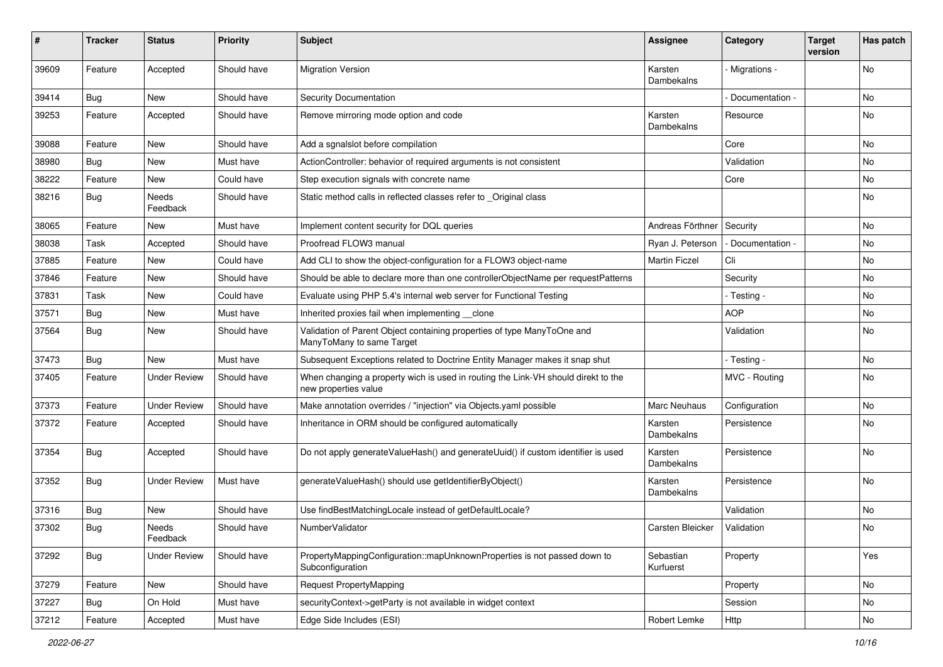| #     | <b>Tracker</b> | <b>Status</b>       | <b>Priority</b> | <b>Subject</b>                                                                                            | <b>Assignee</b>        | Category          | <b>Target</b><br>version | Has patch |
|-------|----------------|---------------------|-----------------|-----------------------------------------------------------------------------------------------------------|------------------------|-------------------|--------------------------|-----------|
| 39609 | Feature        | Accepted            | Should have     | <b>Migration Version</b>                                                                                  | Karsten<br>Dambekalns  | Migrations -      |                          | <b>No</b> |
| 39414 | <b>Bug</b>     | New                 | Should have     | Security Documentation                                                                                    |                        | Documentation -   |                          | No        |
| 39253 | Feature        | Accepted            | Should have     | Remove mirroring mode option and code                                                                     | Karsten<br>Dambekalns  | Resource          |                          | No        |
| 39088 | Feature        | <b>New</b>          | Should have     | Add a sgnalslot before compilation                                                                        |                        | Core              |                          | <b>No</b> |
| 38980 | <b>Bug</b>     | New                 | Must have       | ActionController: behavior of required arguments is not consistent                                        |                        | Validation        |                          | No        |
| 38222 | Feature        | New                 | Could have      | Step execution signals with concrete name                                                                 |                        | Core              |                          | No        |
| 38216 | Bug            | Needs<br>Feedback   | Should have     | Static method calls in reflected classes refer to _Original class                                         |                        |                   |                          | No        |
| 38065 | Feature        | New                 | Must have       | Implement content security for DQL queries                                                                | Andreas Förthner       | Security          |                          | No        |
| 38038 | Task           | Accepted            | Should have     | Proofread FLOW3 manual                                                                                    | Ryan J. Peterson       | - Documentation - |                          | No        |
| 37885 | Feature        | New                 | Could have      | Add CLI to show the object-configuration for a FLOW3 object-name                                          | <b>Martin Ficzel</b>   | Cli               |                          | No        |
| 37846 | Feature        | <b>New</b>          | Should have     | Should be able to declare more than one controllerObjectName per requestPatterns                          |                        | Security          |                          | <b>No</b> |
| 37831 | Task           | New                 | Could have      | Evaluate using PHP 5.4's internal web server for Functional Testing                                       |                        | - Testing -       |                          | No        |
| 37571 | Bug            | New                 | Must have       | Inherited proxies fail when implementing clone                                                            |                        | <b>AOP</b>        |                          | No        |
| 37564 | Bug            | New                 | Should have     | Validation of Parent Object containing properties of type ManyToOne and<br>ManyToMany to same Target      |                        | Validation        |                          | No        |
| 37473 | Bug            | <b>New</b>          | Must have       | Subsequent Exceptions related to Doctrine Entity Manager makes it snap shut                               |                        | - Testing -       |                          | <b>No</b> |
| 37405 | Feature        | <b>Under Review</b> | Should have     | When changing a property wich is used in routing the Link-VH should direkt to the<br>new properties value |                        | MVC - Routing     |                          | No        |
| 37373 | Feature        | <b>Under Review</b> | Should have     | Make annotation overrides / "injection" via Objects.yaml possible                                         | Marc Neuhaus           | Configuration     |                          | No        |
| 37372 | Feature        | Accepted            | Should have     | Inheritance in ORM should be configured automatically                                                     | Karsten<br>Dambekalns  | Persistence       |                          | No        |
| 37354 | <b>Bug</b>     | Accepted            | Should have     | Do not apply generateValueHash() and generateUuid() if custom identifier is used                          | Karsten<br>Dambekalns  | Persistence       |                          | No        |
| 37352 | <b>Bug</b>     | <b>Under Review</b> | Must have       | generateValueHash() should use getIdentifierByObject()                                                    | Karsten<br>Dambekalns  | Persistence       |                          | No        |
| 37316 | Bug            | New                 | Should have     | Use findBestMatchingLocale instead of getDefaultLocale?                                                   |                        | Validation        |                          | No        |
| 37302 | <b>Bug</b>     | Needs<br>Feedback   | Should have     | NumberValidator                                                                                           | Carsten Bleicker       | Validation        |                          | No        |
| 37292 | Bug            | <b>Under Review</b> | Should have     | PropertyMappingConfiguration::mapUnknownProperties is not passed down to<br>Subconfiguration              | Sebastian<br>Kurfuerst | Property          |                          | Yes       |
| 37279 | Feature        | New                 | Should have     | <b>Request PropertyMapping</b>                                                                            |                        | Property          |                          | No        |
| 37227 | <b>Bug</b>     | On Hold             | Must have       | securityContext->getParty is not available in widget context                                              |                        | Session           |                          | No        |
| 37212 | Feature        | Accepted            | Must have       | Edge Side Includes (ESI)                                                                                  | Robert Lemke           | Http              |                          | No        |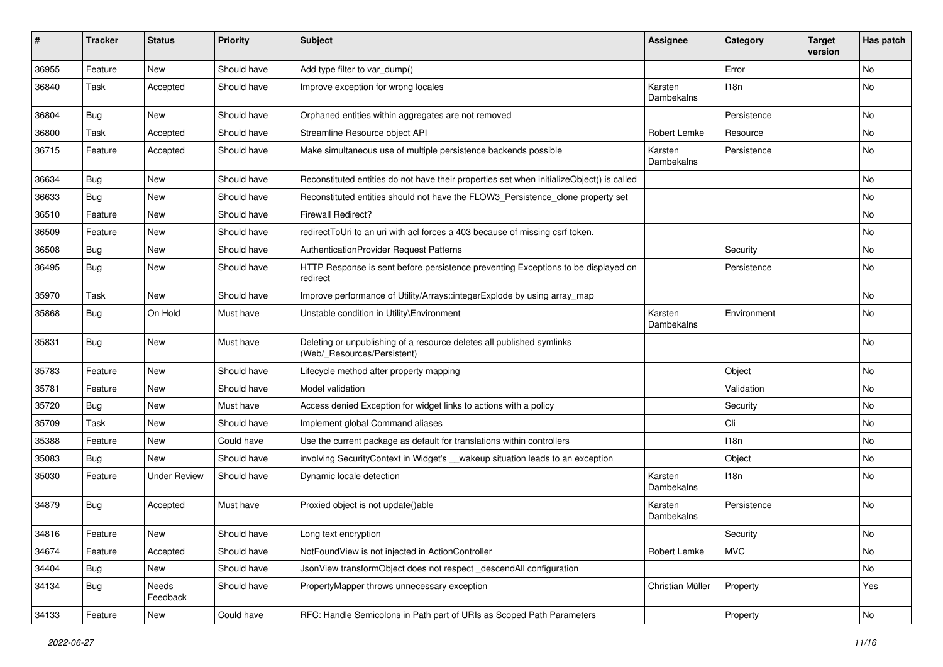| ∦     | <b>Tracker</b> | <b>Status</b>       | <b>Priority</b> | Subject                                                                                              | Assignee              | Category    | <b>Target</b><br>version | Has patch |
|-------|----------------|---------------------|-----------------|------------------------------------------------------------------------------------------------------|-----------------------|-------------|--------------------------|-----------|
| 36955 | Feature        | New                 | Should have     | Add type filter to var_dump()                                                                        |                       | Error       |                          | No        |
| 36840 | Task           | Accepted            | Should have     | Improve exception for wrong locales                                                                  | Karsten<br>Dambekalns | 118n        |                          | No        |
| 36804 | Bug            | <b>New</b>          | Should have     | Orphaned entities within aggregates are not removed                                                  |                       | Persistence |                          | <b>No</b> |
| 36800 | Task           | Accepted            | Should have     | Streamline Resource object API                                                                       | Robert Lemke          | Resource    |                          | No        |
| 36715 | Feature        | Accepted            | Should have     | Make simultaneous use of multiple persistence backends possible                                      | Karsten<br>Dambekalns | Persistence |                          | No        |
| 36634 | <b>Bug</b>     | New                 | Should have     | Reconstituted entities do not have their properties set when initializeObject() is called            |                       |             |                          | No        |
| 36633 | Bug            | New                 | Should have     | Reconstituted entities should not have the FLOW3_Persistence_clone property set                      |                       |             |                          | No        |
| 36510 | Feature        | New                 | Should have     | <b>Firewall Redirect?</b>                                                                            |                       |             |                          | No        |
| 36509 | Feature        | New                 | Should have     | redirectToUri to an uri with acl forces a 403 because of missing csrf token.                         |                       |             |                          | No        |
| 36508 | Bug            | New                 | Should have     | AuthenticationProvider Request Patterns                                                              |                       | Security    |                          | No        |
| 36495 | <b>Bug</b>     | New                 | Should have     | HTTP Response is sent before persistence preventing Exceptions to be displayed on<br>redirect        |                       | Persistence |                          | No        |
| 35970 | Task           | New                 | Should have     | Improve performance of Utility/Arrays::integerExplode by using array map                             |                       |             |                          | No        |
| 35868 | <b>Bug</b>     | On Hold             | Must have       | Unstable condition in Utility\Environment                                                            | Karsten<br>Dambekalns | Environment |                          | No        |
| 35831 | Bug            | New                 | Must have       | Deleting or unpublishing of a resource deletes all published symlinks<br>(Web/_Resources/Persistent) |                       |             |                          | No        |
| 35783 | Feature        | <b>New</b>          | Should have     | Lifecycle method after property mapping                                                              |                       | Object      |                          | <b>No</b> |
| 35781 | Feature        | New                 | Should have     | Model validation                                                                                     |                       | Validation  |                          | No        |
| 35720 | Bug            | New                 | Must have       | Access denied Exception for widget links to actions with a policy                                    |                       | Security    |                          | No        |
| 35709 | Task           | New                 | Should have     | Implement global Command aliases                                                                     |                       | Cli         |                          | No        |
| 35388 | Feature        | New                 | Could have      | Use the current package as default for translations within controllers                               |                       | 118n        |                          | No        |
| 35083 | Bug            | New                 | Should have     | involving SecurityContext in Widget's __wakeup situation leads to an exception                       |                       | Object      |                          | No        |
| 35030 | Feature        | <b>Under Review</b> | Should have     | Dynamic locale detection                                                                             | Karsten<br>Dambekalns | 118n        |                          | No        |
| 34879 | <b>Bug</b>     | Accepted            | Must have       | Proxied object is not update()able                                                                   | Karsten<br>Dambekalns | Persistence |                          | No        |
| 34816 | Feature        | New                 | Should have     | Long text encryption                                                                                 |                       | Security    |                          | No        |
| 34674 | Feature        | Accepted            | Should have     | NotFoundView is not injected in ActionController                                                     | <b>Robert Lemke</b>   | <b>MVC</b>  |                          | No        |
| 34404 | Bug            | New                 | Should have     | JsonView transformObject does not respect_descendAll configuration                                   |                       |             |                          | No        |
| 34134 | Bug            | Needs<br>Feedback   | Should have     | PropertyMapper throws unnecessary exception                                                          | Christian Müller      | Property    |                          | Yes       |
| 34133 | Feature        | New                 | Could have      | RFC: Handle Semicolons in Path part of URIs as Scoped Path Parameters                                |                       | Property    |                          | No        |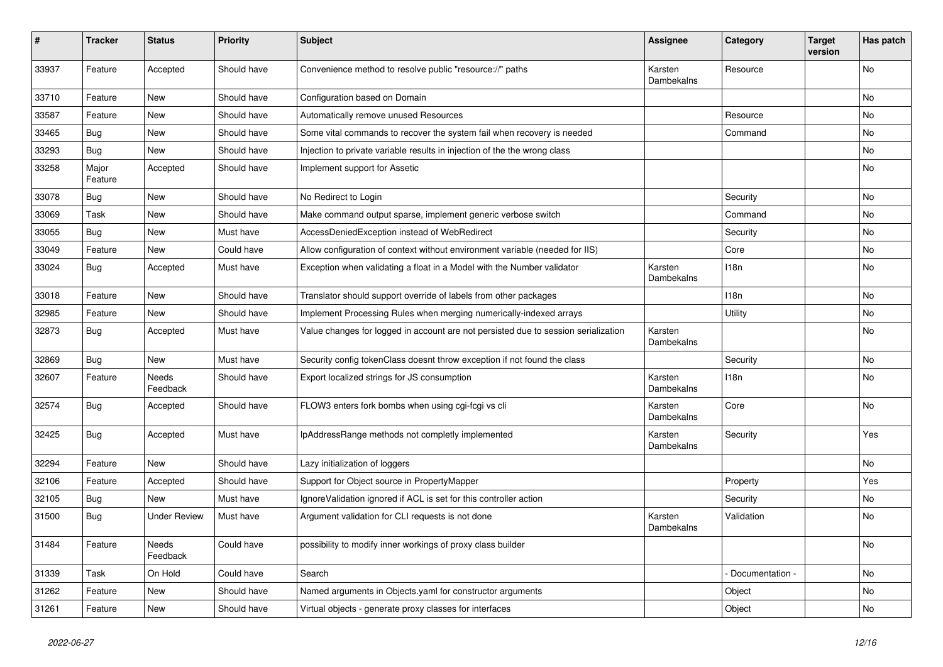| ∦     | <b>Tracker</b>   | <b>Status</b>            | <b>Priority</b> | <b>Subject</b>                                                                     | <b>Assignee</b>       | Category         | <b>Target</b><br>version | Has patch |
|-------|------------------|--------------------------|-----------------|------------------------------------------------------------------------------------|-----------------------|------------------|--------------------------|-----------|
| 33937 | Feature          | Accepted                 | Should have     | Convenience method to resolve public "resource://" paths                           | Karsten<br>Dambekalns | Resource         |                          | <b>No</b> |
| 33710 | Feature          | <b>New</b>               | Should have     | Configuration based on Domain                                                      |                       |                  |                          | No        |
| 33587 | Feature          | <b>New</b>               | Should have     | Automatically remove unused Resources                                              |                       | Resource         |                          | No        |
| 33465 | Bug              | <b>New</b>               | Should have     | Some vital commands to recover the system fail when recovery is needed             |                       | Command          |                          | No        |
| 33293 | <b>Bug</b>       | <b>New</b>               | Should have     | Injection to private variable results in injection of the the wrong class          |                       |                  |                          | No        |
| 33258 | Major<br>Feature | Accepted                 | Should have     | Implement support for Assetic                                                      |                       |                  |                          | No        |
| 33078 | <b>Bug</b>       | <b>New</b>               | Should have     | No Redirect to Login                                                               |                       | Security         |                          | No        |
| 33069 | Task             | <b>New</b>               | Should have     | Make command output sparse, implement generic verbose switch                       |                       | Command          |                          | <b>No</b> |
| 33055 | Bug              | <b>New</b>               | Must have       | AccessDeniedException instead of WebRedirect                                       |                       | Security         |                          | <b>No</b> |
| 33049 | Feature          | <b>New</b>               | Could have      | Allow configuration of context without environment variable (needed for IIS)       |                       | Core             |                          | <b>No</b> |
| 33024 | <b>Bug</b>       | Accepted                 | Must have       | Exception when validating a float in a Model with the Number validator             | Karsten<br>Dambekalns | 118n             |                          | <b>No</b> |
| 33018 | Feature          | <b>New</b>               | Should have     | Translator should support override of labels from other packages                   |                       | 118 <sub>n</sub> |                          | <b>No</b> |
| 32985 | Feature          | <b>New</b>               | Should have     | Implement Processing Rules when merging numerically-indexed arrays                 |                       | Utility          |                          | No        |
| 32873 | Bug              | Accepted                 | Must have       | Value changes for logged in account are not persisted due to session serialization | Karsten<br>Dambekalns |                  |                          | No        |
| 32869 | Bug              | <b>New</b>               | Must have       | Security config tokenClass doesnt throw exception if not found the class           |                       | Security         |                          | <b>No</b> |
| 32607 | Feature          | Needs<br>Feedback        | Should have     | Export localized strings for JS consumption                                        | Karsten<br>Dambekalns | 118n             |                          | <b>No</b> |
| 32574 | <b>Bug</b>       | Accepted                 | Should have     | FLOW3 enters fork bombs when using cgi-fcgi vs cli                                 | Karsten<br>Dambekalns | Core             |                          | <b>No</b> |
| 32425 | <b>Bug</b>       | Accepted                 | Must have       | IpAddressRange methods not completly implemented                                   | Karsten<br>Dambekalns | Security         |                          | Yes       |
| 32294 | Feature          | <b>New</b>               | Should have     | Lazy initialization of loggers                                                     |                       |                  |                          | <b>No</b> |
| 32106 | Feature          | Accepted                 | Should have     | Support for Object source in PropertyMapper                                        |                       | Property         |                          | Yes       |
| 32105 | <b>Bug</b>       | New                      | Must have       | Ignore Validation ignored if ACL is set for this controller action                 |                       | Security         |                          | No        |
| 31500 | <b>Bug</b>       | <b>Under Review</b>      | Must have       | Argument validation for CLI requests is not done                                   | Karsten<br>Dambekalns | Validation       |                          | <b>No</b> |
| 31484 | Feature          | <b>Needs</b><br>Feedback | Could have      | possibility to modify inner workings of proxy class builder                        |                       |                  |                          | <b>No</b> |
| 31339 | Task             | On Hold                  | Could have      | Search                                                                             |                       | Documentation -  |                          | No        |
| 31262 | Feature          | <b>New</b>               | Should have     | Named arguments in Objects yaml for constructor arguments                          |                       | Object           |                          | No        |
| 31261 | Feature          | <b>New</b>               | Should have     | Virtual objects - generate proxy classes for interfaces                            |                       | Object           |                          | No        |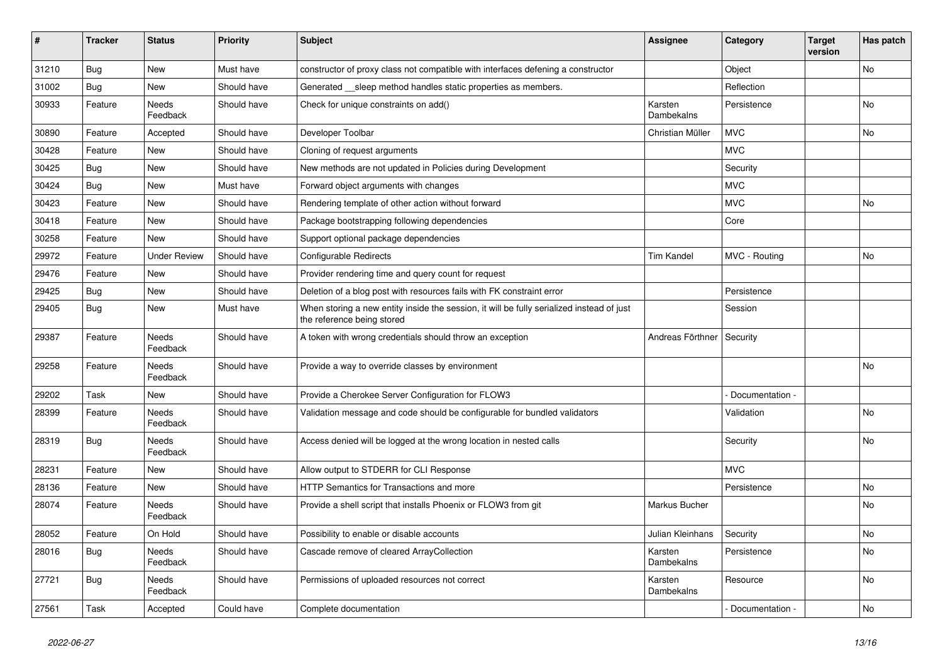| #     | <b>Tracker</b> | <b>Status</b>            | <b>Priority</b> | <b>Subject</b>                                                                                                          | <b>Assignee</b>       | Category        | <b>Target</b><br>version | Has patch      |
|-------|----------------|--------------------------|-----------------|-------------------------------------------------------------------------------------------------------------------------|-----------------------|-----------------|--------------------------|----------------|
| 31210 | Bug            | <b>New</b>               | Must have       | constructor of proxy class not compatible with interfaces defening a constructor                                        |                       | Object          |                          | <b>No</b>      |
| 31002 | Bug            | New                      | Should have     | Generated __sleep method handles static properties as members.                                                          |                       | Reflection      |                          |                |
| 30933 | Feature        | Needs<br>Feedback        | Should have     | Check for unique constraints on add()                                                                                   | Karsten<br>Dambekalns | Persistence     |                          | N <sub>o</sub> |
| 30890 | Feature        | Accepted                 | Should have     | Developer Toolbar                                                                                                       | Christian Müller      | <b>MVC</b>      |                          | No             |
| 30428 | Feature        | <b>New</b>               | Should have     | Cloning of request arguments                                                                                            |                       | <b>MVC</b>      |                          |                |
| 30425 | Bug            | <b>New</b>               | Should have     | New methods are not updated in Policies during Development                                                              |                       | Security        |                          |                |
| 30424 | <b>Bug</b>     | <b>New</b>               | Must have       | Forward object arguments with changes                                                                                   |                       | <b>MVC</b>      |                          |                |
| 30423 | Feature        | <b>New</b>               | Should have     | Rendering template of other action without forward                                                                      |                       | <b>MVC</b>      |                          | N <sub>o</sub> |
| 30418 | Feature        | New                      | Should have     | Package bootstrapping following dependencies                                                                            |                       | Core            |                          |                |
| 30258 | Feature        | <b>New</b>               | Should have     | Support optional package dependencies                                                                                   |                       |                 |                          |                |
| 29972 | Feature        | <b>Under Review</b>      | Should have     | <b>Configurable Redirects</b>                                                                                           | <b>Tim Kandel</b>     | MVC - Routing   |                          | <b>No</b>      |
| 29476 | Feature        | <b>New</b>               | Should have     | Provider rendering time and query count for request                                                                     |                       |                 |                          |                |
| 29425 | Bug            | <b>New</b>               | Should have     | Deletion of a blog post with resources fails with FK constraint error                                                   |                       | Persistence     |                          |                |
| 29405 | Bug            | <b>New</b>               | Must have       | When storing a new entity inside the session, it will be fully serialized instead of just<br>the reference being stored |                       | Session         |                          |                |
| 29387 | Feature        | Needs<br>Feedback        | Should have     | A token with wrong credentials should throw an exception                                                                | Andreas Förthner      | Security        |                          |                |
| 29258 | Feature        | <b>Needs</b><br>Feedback | Should have     | Provide a way to override classes by environment                                                                        |                       |                 |                          | No.            |
| 29202 | Task           | <b>New</b>               | Should have     | Provide a Cherokee Server Configuration for FLOW3                                                                       |                       | Documentation - |                          |                |
| 28399 | Feature        | Needs<br>Feedback        | Should have     | Validation message and code should be configurable for bundled validators                                               |                       | Validation      |                          | N <sub>o</sub> |
| 28319 | Bug            | Needs<br>Feedback        | Should have     | Access denied will be logged at the wrong location in nested calls                                                      |                       | Security        |                          | No.            |
| 28231 | Feature        | New                      | Should have     | Allow output to STDERR for CLI Response                                                                                 |                       | <b>MVC</b>      |                          |                |
| 28136 | Feature        | <b>New</b>               | Should have     | <b>HTTP Semantics for Transactions and more</b>                                                                         |                       | Persistence     |                          | No             |
| 28074 | Feature        | Needs<br>Feedback        | Should have     | Provide a shell script that installs Phoenix or FLOW3 from git                                                          | Markus Bucher         |                 |                          | N <sub>o</sub> |
| 28052 | Feature        | On Hold                  | Should have     | Possibility to enable or disable accounts                                                                               | Julian Kleinhans      | Security        |                          | N <sub>o</sub> |
| 28016 | Bug            | <b>Needs</b><br>Feedback | Should have     | Cascade remove of cleared ArrayCollection                                                                               | Karsten<br>Dambekalns | Persistence     |                          | <b>No</b>      |
| 27721 | Bug            | Needs<br>Feedback        | Should have     | Permissions of uploaded resources not correct                                                                           | Karsten<br>Dambekalns | Resource        |                          | No             |
| 27561 | Task           | Accepted                 | Could have      | Complete documentation                                                                                                  |                       | Documentation - |                          | <b>No</b>      |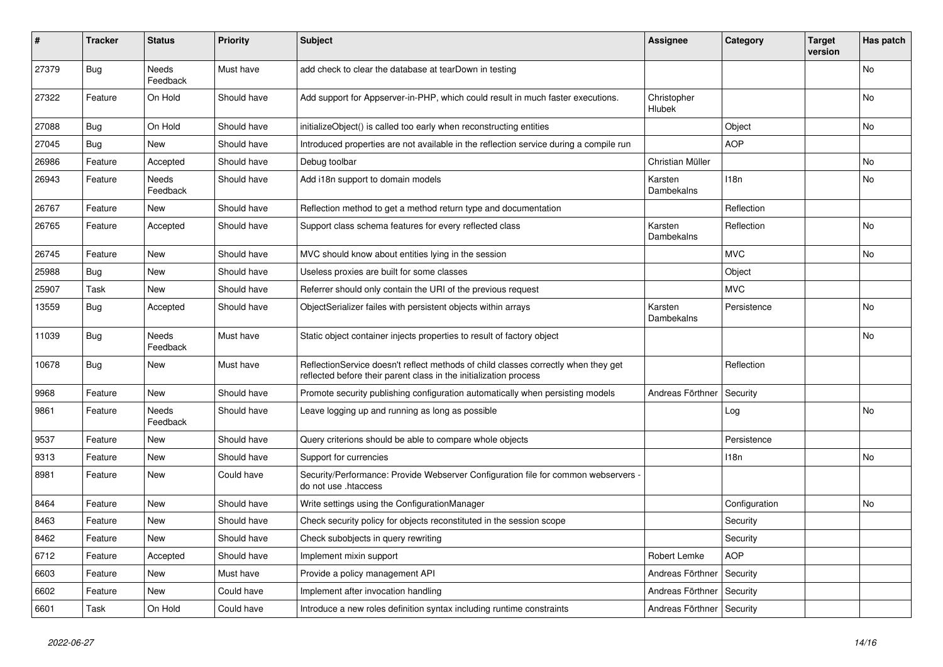| #     | <b>Tracker</b> | <b>Status</b>            | <b>Priority</b> | <b>Subject</b>                                                                                                                                          | <b>Assignee</b>             | Category         | <b>Target</b><br>version | Has patch      |
|-------|----------------|--------------------------|-----------------|---------------------------------------------------------------------------------------------------------------------------------------------------------|-----------------------------|------------------|--------------------------|----------------|
| 27379 | <b>Bug</b>     | <b>Needs</b><br>Feedback | Must have       | add check to clear the database at tearDown in testing                                                                                                  |                             |                  |                          | <b>No</b>      |
| 27322 | Feature        | On Hold                  | Should have     | Add support for Appserver-in-PHP, which could result in much faster executions.                                                                         | Christopher<br>Hlubek       |                  |                          | No             |
| 27088 | <b>Bug</b>     | On Hold                  | Should have     | initializeObject() is called too early when reconstructing entities                                                                                     |                             | Object           |                          | No.            |
| 27045 | Bug            | <b>New</b>               | Should have     | Introduced properties are not available in the reflection service during a compile run                                                                  |                             | <b>AOP</b>       |                          |                |
| 26986 | Feature        | Accepted                 | Should have     | Debug toolbar                                                                                                                                           | Christian Müller            |                  |                          | No             |
| 26943 | Feature        | Needs<br>Feedback        | Should have     | Add i18n support to domain models                                                                                                                       | Karsten<br>Dambekalns       | 118 <sub>n</sub> |                          | No             |
| 26767 | Feature        | <b>New</b>               | Should have     | Reflection method to get a method return type and documentation                                                                                         |                             | Reflection       |                          |                |
| 26765 | Feature        | Accepted                 | Should have     | Support class schema features for every reflected class                                                                                                 | Karsten<br>Dambekalns       | Reflection       |                          | <b>No</b>      |
| 26745 | Feature        | <b>New</b>               | Should have     | MVC should know about entities lying in the session                                                                                                     |                             | <b>MVC</b>       |                          | No.            |
| 25988 | Bug            | <b>New</b>               | Should have     | Useless proxies are built for some classes                                                                                                              |                             | Object           |                          |                |
| 25907 | Task           | <b>New</b>               | Should have     | Referrer should only contain the URI of the previous request                                                                                            |                             | <b>MVC</b>       |                          |                |
| 13559 | <b>Bug</b>     | Accepted                 | Should have     | ObjectSerializer failes with persistent objects within arrays                                                                                           | Karsten<br>Dambekalns       | Persistence      |                          | No             |
| 11039 | <b>Bug</b>     | Needs<br>Feedback        | Must have       | Static object container injects properties to result of factory object                                                                                  |                             |                  |                          | N <sub>o</sub> |
| 10678 | <b>Bug</b>     | <b>New</b>               | Must have       | ReflectionService doesn't reflect methods of child classes correctly when they get<br>reflected before their parent class in the initialization process |                             | Reflection       |                          |                |
| 9968  | Feature        | <b>New</b>               | Should have     | Promote security publishing configuration automatically when persisting models                                                                          | Andreas Förthner            | Security         |                          |                |
| 9861  | Feature        | Needs<br>Feedback        | Should have     | Leave logging up and running as long as possible                                                                                                        |                             | Log              |                          | No             |
| 9537  | Feature        | <b>New</b>               | Should have     | Query criterions should be able to compare whole objects                                                                                                |                             | Persistence      |                          |                |
| 9313  | Feature        | <b>New</b>               | Should have     | Support for currencies                                                                                                                                  |                             | 118 <sub>n</sub> |                          | No             |
| 8981  | Feature        | <b>New</b>               | Could have      | Security/Performance: Provide Webserver Configuration file for common webservers<br>do not use .htaccess                                                |                             |                  |                          |                |
| 8464  | Feature        | <b>New</b>               | Should have     | Write settings using the ConfigurationManager                                                                                                           |                             | Configuration    |                          | <b>No</b>      |
| 8463  | Feature        | <b>New</b>               | Should have     | Check security policy for objects reconstituted in the session scope                                                                                    |                             | Security         |                          |                |
| 8462  | Feature        | New                      | Should have     | Check subobjects in query rewriting                                                                                                                     |                             | Security         |                          |                |
| 6712  | Feature        | Accepted                 | Should have     | Implement mixin support                                                                                                                                 | Robert Lemke                | <b>AOP</b>       |                          |                |
| 6603  | Feature        | <b>New</b>               | Must have       | Provide a policy management API                                                                                                                         | Andreas Förthner            | Security         |                          |                |
| 6602  | Feature        | <b>New</b>               | Could have      | Implement after invocation handling                                                                                                                     | Andreas Förthner            | Security         |                          |                |
| 6601  | Task           | On Hold                  | Could have      | Introduce a new roles definition syntax including runtime constraints                                                                                   | Andreas Förthner   Security |                  |                          |                |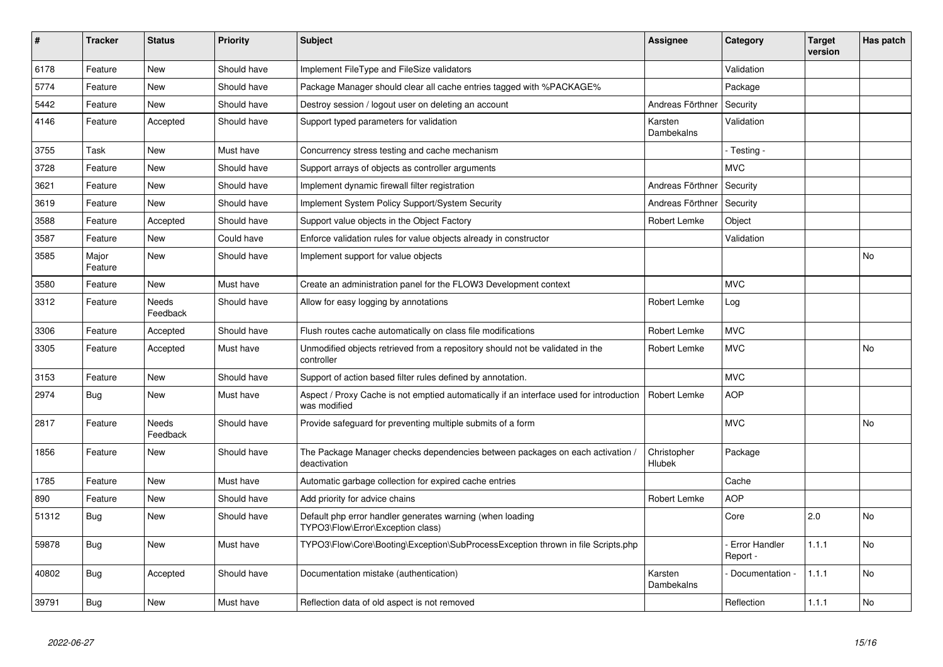| #     | <b>Tracker</b>   | <b>Status</b>            | <b>Priority</b> | <b>Subject</b>                                                                                          | <b>Assignee</b>              | Category                         | <b>Target</b><br>version | Has patch |
|-------|------------------|--------------------------|-----------------|---------------------------------------------------------------------------------------------------------|------------------------------|----------------------------------|--------------------------|-----------|
| 6178  | Feature          | <b>New</b>               | Should have     | Implement FileType and FileSize validators                                                              |                              | Validation                       |                          |           |
| 5774  | Feature          | <b>New</b>               | Should have     | Package Manager should clear all cache entries tagged with %PACKAGE%                                    |                              | Package                          |                          |           |
| 5442  | Feature          | <b>New</b>               | Should have     | Destroy session / logout user on deleting an account                                                    | Andreas Förthner             | Security                         |                          |           |
| 4146  | Feature          | Accepted                 | Should have     | Support typed parameters for validation                                                                 | Karsten<br>Dambekalns        | Validation                       |                          |           |
| 3755  | Task             | <b>New</b>               | Must have       | Concurrency stress testing and cache mechanism                                                          |                              | - Testing -                      |                          |           |
| 3728  | Feature          | <b>New</b>               | Should have     | Support arrays of objects as controller arguments                                                       |                              | <b>MVC</b>                       |                          |           |
| 3621  | Feature          | <b>New</b>               | Should have     | Implement dynamic firewall filter registration                                                          | Andreas Förthner             | Security                         |                          |           |
| 3619  | Feature          | <b>New</b>               | Should have     | Implement System Policy Support/System Security                                                         | Andreas Förthner             | Security                         |                          |           |
| 3588  | Feature          | Accepted                 | Should have     | Support value objects in the Object Factory                                                             | Robert Lemke                 | Object                           |                          |           |
| 3587  | Feature          | <b>New</b>               | Could have      | Enforce validation rules for value objects already in constructor                                       |                              | Validation                       |                          |           |
| 3585  | Major<br>Feature | <b>New</b>               | Should have     | Implement support for value objects                                                                     |                              |                                  |                          | No        |
| 3580  | Feature          | <b>New</b>               | Must have       | Create an administration panel for the FLOW3 Development context                                        |                              | <b>MVC</b>                       |                          |           |
| 3312  | Feature          | <b>Needs</b><br>Feedback | Should have     | Allow for easy logging by annotations                                                                   | Robert Lemke                 | Log                              |                          |           |
| 3306  | Feature          | Accepted                 | Should have     | Flush routes cache automatically on class file modifications                                            | Robert Lemke                 | <b>MVC</b>                       |                          |           |
| 3305  | Feature          | Accepted                 | Must have       | Unmodified objects retrieved from a repository should not be validated in the<br>controller             | Robert Lemke                 | <b>MVC</b>                       |                          | No        |
| 3153  | Feature          | <b>New</b>               | Should have     | Support of action based filter rules defined by annotation.                                             |                              | <b>MVC</b>                       |                          |           |
| 2974  | <b>Bug</b>       | <b>New</b>               | Must have       | Aspect / Proxy Cache is not emptied automatically if an interface used for introduction<br>was modified | Robert Lemke                 | <b>AOP</b>                       |                          |           |
| 2817  | Feature          | Needs<br>Feedback        | Should have     | Provide safeguard for preventing multiple submits of a form                                             |                              | <b>MVC</b>                       |                          | No        |
| 1856  | Feature          | <b>New</b>               | Should have     | The Package Manager checks dependencies between packages on each activation /<br>deactivation           | Christopher<br><b>Hlubek</b> | Package                          |                          |           |
| 1785  | Feature          | <b>New</b>               | Must have       | Automatic garbage collection for expired cache entries                                                  |                              | Cache                            |                          |           |
| 890   | Feature          | <b>New</b>               | Should have     | Add priority for advice chains                                                                          | Robert Lemke                 | <b>AOP</b>                       |                          |           |
| 51312 | Bug              | <b>New</b>               | Should have     | Default php error handler generates warning (when loading<br>TYPO3\Flow\Error\Exception class)          |                              | Core                             | 2.0                      | No        |
| 59878 | <b>Bug</b>       | <b>New</b>               | Must have       | TYPO3\Flow\Core\Booting\Exception\SubProcessException thrown in file Scripts.php                        |                              | <b>Error Handler</b><br>Report - | 1.1.1                    | No        |
| 40802 | Bug              | Accepted                 | Should have     | Documentation mistake (authentication)                                                                  | Karsten<br>Dambekalns        | Documentation -                  | 1.1.1                    | No        |
| 39791 | Bug              | <b>New</b>               | Must have       | Reflection data of old aspect is not removed                                                            |                              | Reflection                       | 1.1.1                    | No        |